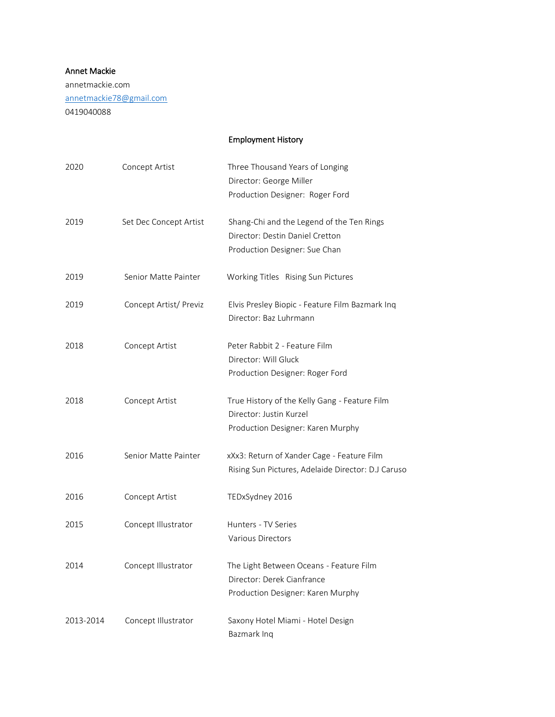## Annet Mackie

annetmackie.com [annetmackie78@gmail.com](mailto:annetmackie78@gmail.com) 0419040088

## Employment History

| 2020      | Concept Artist         | Three Thousand Years of Longing<br>Director: George Miller<br>Production Designer: Roger Ford |
|-----------|------------------------|-----------------------------------------------------------------------------------------------|
| 2019      | Set Dec Concept Artist | Shang-Chi and the Legend of the Ten Rings<br>Director: Destin Daniel Cretton                  |
|           |                        | Production Designer: Sue Chan                                                                 |
| 2019      | Senior Matte Painter   | Working Titles Rising Sun Pictures                                                            |
| 2019      | Concept Artist/ Previz | Elvis Presley Biopic - Feature Film Bazmark Inq<br>Director: Baz Luhrmann                     |
| 2018      | Concept Artist         | Peter Rabbit 2 - Feature Film                                                                 |
|           |                        | Director: Will Gluck                                                                          |
|           |                        | Production Designer: Roger Ford                                                               |
| 2018      | Concept Artist         | True History of the Kelly Gang - Feature Film<br>Director: Justin Kurzel                      |
|           |                        | Production Designer: Karen Murphy                                                             |
|           |                        |                                                                                               |
| 2016      | Senior Matte Painter   | xXx3: Return of Xander Cage - Feature Film                                                    |
|           |                        | Rising Sun Pictures, Adelaide Director: D.J Caruso                                            |
| 2016      | Concept Artist         | TEDxSydney 2016                                                                               |
| 2015      | Concept Illustrator    | Hunters - TV Series                                                                           |
|           |                        | <b>Various Directors</b>                                                                      |
| 2014      | Concept Illustrator    | The Light Between Oceans - Feature Film                                                       |
|           |                        | Director: Derek Cianfrance                                                                    |
|           |                        | Production Designer: Karen Murphy                                                             |
| 2013-2014 | Concept Illustrator    | Saxony Hotel Miami - Hotel Design                                                             |
|           |                        | Bazmark Inq                                                                                   |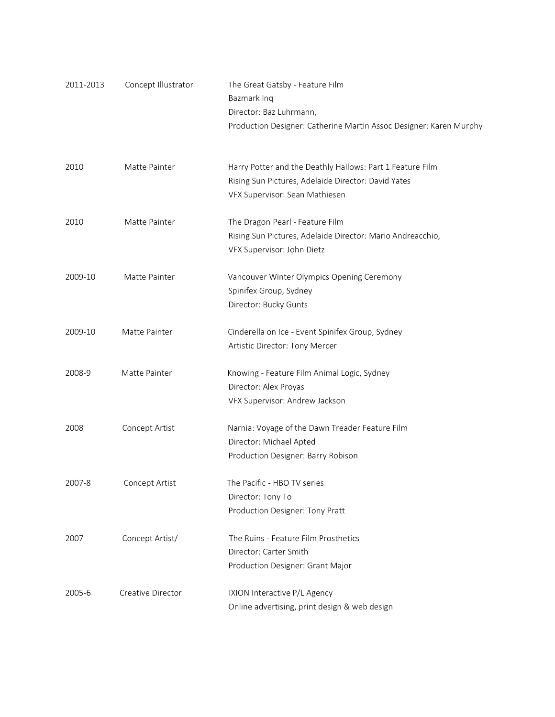| 2011-2013 | Concept Illustrator | The Great Gatsby - Feature Film                                    |
|-----------|---------------------|--------------------------------------------------------------------|
|           |                     | Bazmark Inq                                                        |
|           |                     | Director: Baz Luhrmann,                                            |
|           |                     | Production Designer: Catherine Martin Assoc Designer: Karen Murphy |
| 2010      | Matte Painter       | Harry Potter and the Deathly Hallows: Part 1 Feature Film          |
|           |                     | Rising Sun Pictures, Adelaide Director: David Yates                |
|           |                     | VFX Supervisor: Sean Mathiesen                                     |
| 2010      | Matte Painter       | The Dragon Pearl - Feature Film                                    |
|           |                     | Rising Sun Pictures, Adelaide Director: Mario Andreacchio,         |
|           |                     | VFX Supervisor: John Dietz                                         |
| 2009-10   | Matte Painter       | Vancouver Winter Olympics Opening Ceremony                         |
|           |                     | Spinifex Group, Sydney                                             |
|           |                     | Director: Bucky Gunts                                              |
| 2009-10   | Matte Painter       | Cinderella on Ice - Event Spinifex Group, Sydney                   |
|           |                     | Artistic Director: Tony Mercer                                     |
| 2008-9    | Matte Painter       | Knowing - Feature Film Animal Logic, Sydney                        |
|           |                     | Director: Alex Proyas                                              |
|           |                     | VFX Supervisor: Andrew Jackson                                     |
| 2008      | Concept Artist      | Narnia: Voyage of the Dawn Treader Feature Film                    |
|           |                     | Director: Michael Apted                                            |
|           |                     | Production Designer: Barry Robison                                 |
| 2007-8    | Concept Artist      | The Pacific - HBO TV series                                        |
|           |                     | Director: Tony To                                                  |
|           |                     | Production Designer: Tony Pratt                                    |
| 2007      | Concept Artist/     | The Ruins - Feature Film Prosthetics                               |
|           |                     | Director: Carter Smith                                             |
|           |                     | Production Designer: Grant Major                                   |
| 2005-6    | Creative Director   | IXION Interactive P/L Agency                                       |
|           |                     | Online advertising, print design & web design                      |